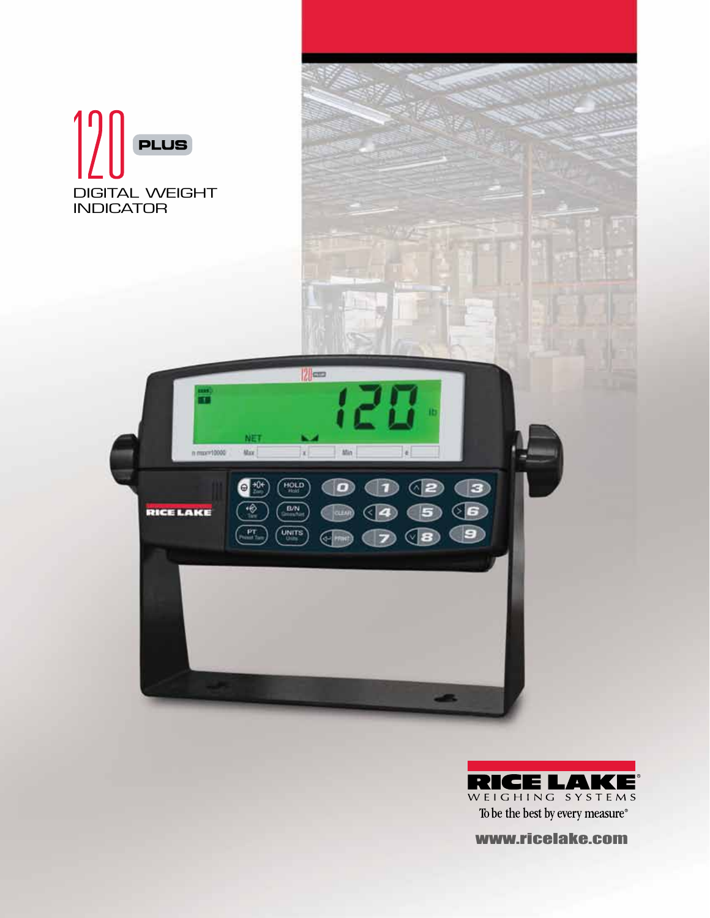



www.ricelake.com